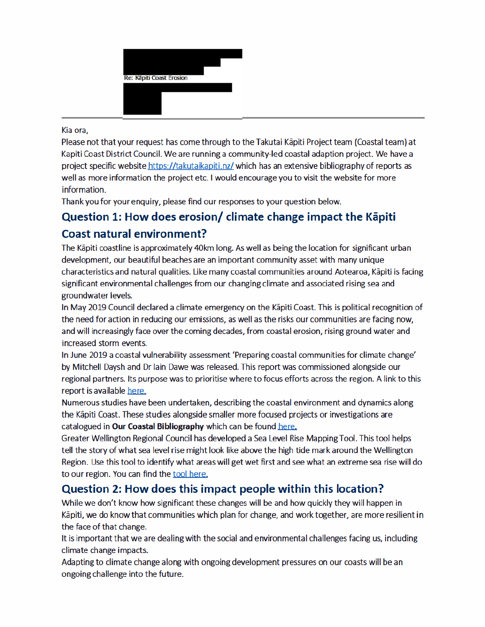

### Kia ora.

Please not that your request has come through to the Takutai Kapiti Project team (Coastal team) at Kapiti Coast District Council. We are running a community-led coastal adaption project. We have a project specific website https://takutajkapiti.nz/ which has an extensive bibliography of reports as well as more information the project etc. I would encourage you to visit the website for more information.

Thank you for your enguiry, please find our responses to your question below.

# Question 1: How does erosion/ climate change impact the Kapiti

## Coast natural environment?

The Kapiti coastline is approximately 40km long. As well as being the location for significant urban development, our beautiful beaches are an important community asset with many unique characteristics and natural qualities. Like many coastal communities around Aotearoa, Kāpiti is facing significant environmental challenges from our changing climate and associated rising sea and groundwater levels.

In May 2019 Council declared a climate emergency on the Kapiti Coast. This is political recognition of the need for action in reducing our emissions, as well as the risks our communities are facing now, and will increasingly face over the coming decades, from coastal erosion, rising ground water and increased storm events.

In June 2019 a coastal vulnerability assessment 'Preparing coastal communities for climate change' by Mitchell Daysh and Dr lain Dawe was released. This report was commissioned alongside our regional partners. Its purpose was to prioritise where to focus efforts across the region. A link to this report is available here.

Numerous studies have been undertaken, describing the coastal environment and dynamics along the Kapiti Coast. These studies alongside smaller more focused projects or investigations are catalogued in Our Coastal Bibliography which can be found here.

Greater Wellington Regional Council has developed a Sea Level Rise Mapping Tool. This tool helps tell the story of what sea level rise might look like above the high tide mark around the Wellington Region. Use this tool to identify what areas will get wet first and see what an extreme sea rise will do to our region. You can find the tool here.

# Question 2: How does this impact people within this location?

While we don't know how significant these changes will be and how quickly they will happen in Kāpiti, we do know that communities which plan for change, and work together, are more resilient in the face of that change.

It is important that we are dealing with the social and environmental challenges facing us, including climate change impacts.

Adapting to climate change along with ongoing development pressures on our coasts will be an ongoing challenge into the future.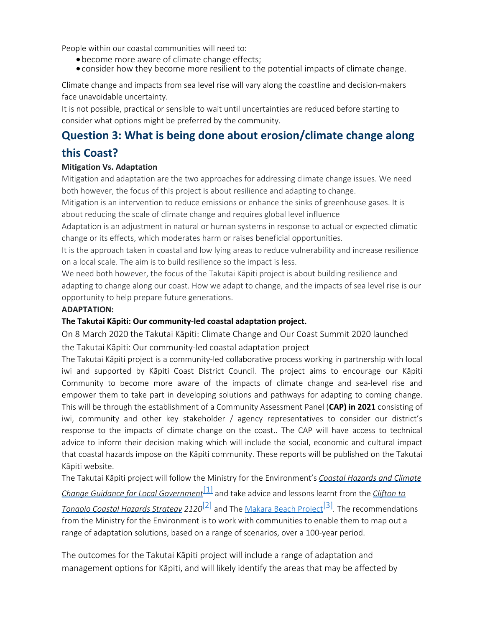People within our coastal communities will need to:

- · become more aware of climate change effects;
- · consider how they become more resilient to the potential impacts of climate change.

Climate change and impacts from sea level rise will vary along the coastline and decision-makers face unavoidable uncertainty.

It is not possible, practical or sensible to wait until uncertainties are reduced before starting to consider what options might be preferred by the community.

# **Question 3: What is being done about erosion/climate change along this Coast?**

### **Mitigation Vs. Adaptation**

Mitigation and adaptation are the two approaches for addressing climate change issues. We need both however, the focus of this project is about resilience and adapting to change.

Mitigation is an intervention to reduce emissions or enhance the sinks of greenhouse gases. It is about reducing the scale of climate change and requires global level influence

Adaptation is an adjustment in natural or human systems in response to actual or expected climatic change or its effects, which moderates harm or raises beneficial opportunities.

It is the approach taken in coastal and low lying areas to reduce vulnerability and increase resilience on a local scale. The aim is to build resilience so the impact is less.

We need both however, the focus of the Takutai Kāpiti project is about building resilience and adapting to change along our coast. How we adapt to change, and the impacts of sea level rise is our opportunity to help prepare future generations.

### **ADAPTATION:**

#### **The Takutai Kāpiti: Our community-led coastal adaptation project.**

On 8 March 2020 the Takutai Kāpiti: Climate Change and Our Coast Summit 2020 launched the Takutai Kāpiti: Our community-led coastal adaptation project

The Takutai Kāpiti project is a community-led collaborative process working in partnership with local iwi and supported by Kāpiti Coast District Council. The project aims to encourage our Kāpiti Community to become more aware of the impacts of climate change and sea-level rise and empower them to take part in developing solutions and pathways for adapting to coming change. This will be through the establishment of a Community Assessment Panel (**CAP) in 2021** consisting of iwi, community and other key stakeholder / agency representatives to consider our district's response to the impacts of climate change on the coast.. The CAP will have access to technical advice to inform their decision making which will include the social, economic and cultural impact that coastal hazards impose on the Kāpiti community. These reports will be published on the Takutai Kāpiti website.

The Takutai Kāpiti project will follow the Ministry for the Environment's *Coastal Hazards and Climate*

*Change Guidance for Local Government*[1] and take advice and lessons learnt from the *Clifton to*

*Tongoio Coastal Hazards Strategy 2120*[2] and The Makara Beach Project[3]*.* The recommendations from the Ministry for the Environment is to work with communities to enable them to map out a range of adaptation solutions, based on a range of scenarios, over a 100-year period.

The outcomes for the Takutai Kāpiti project will include a range of adaptation and management options for Kāpiti, and will likely identify the areas that may be affected by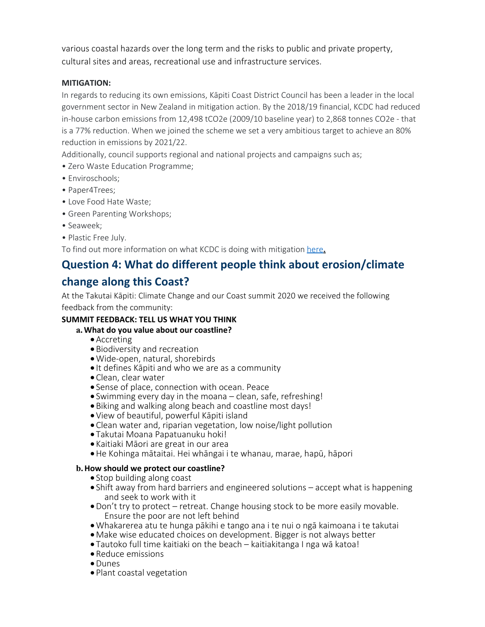various coastal hazards over the long term and the risks to public and private property, cultural sites and areas, recreational use and infrastructure services.

### **MITIGATION:**

In regards to reducing its own emissions, Kāpiti Coast District Council has been a leader in the local government sector in New Zealand in mitigation action. By the 2018/19 financial, KCDC had reduced in-house carbon emissions from 12,498 tCO2e (2009/10 baseline year) to 2,868 tonnes CO2e - that is a 77% reduction. When we joined the scheme we set a very ambitious target to achieve an 80% reduction in emissions by 2021/22.

Additionally, council supports regional and national projects and campaigns such as;

- Zero Waste Education Programme;
- Enviroschools;
- Paper4Trees;
- Love Food Hate Waste;
- Green Parenting Workshops;
- Seaweek;
- Plastic Free July.

To find out more information on what KCDC is doing with mitigation here**.**

# **Question 4: What do different people think about erosion/climate**

# **change along this Coast?**

At the Takutai Kāpiti: Climate Change and our Coast summit 2020 we received the following feedback from the community:

## **SUMMIT FEEDBACK: TELL US WHAT YOU THINK**

## **a.What do you value about our coastline?**

- ·Accreting
- · Biodiversity and recreation
- ·Wide-open, natural, shorebirds
- · It defines Kāpiti and who we are as a community
- · Clean, clear water
- · Sense of place, connection with ocean. Peace
- · Swimming every day in the moana clean, safe, refreshing!
- · Biking and walking along beach and coastline most days!
- · View of beautiful, powerful Kāpiti island
- · Clean water and, riparian vegetation, low noise/light pollution
- · Takutai Moana Papatuanuku hoki!
- · Kaitiaki Māori are great in our area
- ·He Kohinga mātaitai. Hei whāngai i te whanau, marae, hapū, hāpori

## **b.How should we protect our coastline?**

- Stop building along coast
- · Shift away from hard barriers and engineered solutions accept what is happening and seek to work with it
- ·Don't try to protect retreat. Change housing stock to be more easily movable. Ensure the poor are not left behind
- ·Whakarerea atu te hunga pākihi e tango ana i te nui o ngā kaimoana i te takutai
- · Make wise educated choices on development. Bigger is not always better
- · Tautoko full time kaitiaki on the beach kaitiakitanga I nga wā katoa!
- · Reduce emissions
- ·Dunes
- · Plant coastal vegetation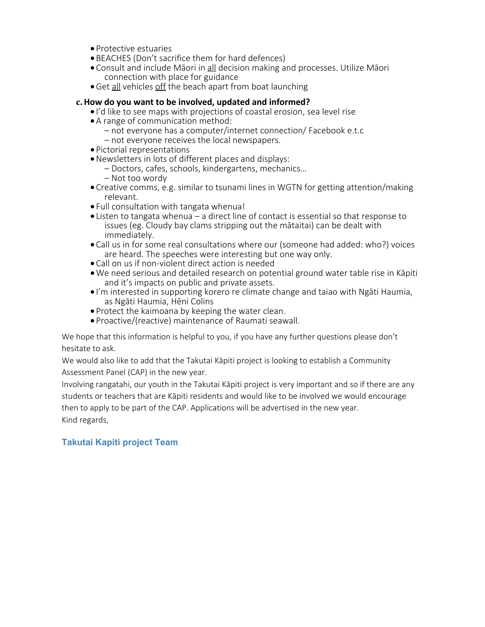- · Protective estuaries
- · BEACHES (Don't sacrifice them for hard defences)
- · Consult and include Māori in all decision making and processes. Utilize Māori connection with place for guidance
- Get all vehicles off the beach apart from boat launching

### **c.How do you want to be involved, updated and informed?**

- · I'd like to see maps with projections of coastal erosion, sea level rise
- · A range of communication method:
	- not everyone has a computer/internet connection/ Facebook e.t.c
	- not everyone receives the local newspapers.
- · Pictorial representations
- ·Newsletters in lots of different places and displays:
	- Doctors, cafes, schools, kindergartens, mechanics…
	- Not too wordy
- · Creative comms, e.g. similar to tsunami lines in WGTN for getting attention/making relevant.
- · Full consultation with tangata whenua!
- · Listen to tangata whenua a direct line of contact is essential so that response to issues (eg. Cloudy bay clams stripping out the mātaitai) can be dealt with immediately.
- · Call us in for some real consultations where our (someone had added: who?) voices are heard. The speeches were interesting but one way only.
- · Call on us if non-violent direct action is needed
- ·We need serious and detailed research on potential ground water table rise in Kāpiti and it's impacts on public and private assets.
- · I'm interested in supporting korero re climate change and taiao with Ngāti Haumia, as Ngāti Haumia, Hēni Colins
- · Protect the kaimoana by keeping the water clean.
- · Proactive/(reactive) maintenance of Raumati seawall.

We hope that this information is helpful to you, if you have any further questions please don't hesitate to ask.

We would also like to add that the Takutai Kāpiti project is looking to establish a Community Assessment Panel (CAP) in the new year.

Involving rangatahi, our youth in the Takutai Kāpiti project is very important and so if there are any students or teachers that are Kāpiti residents and would like to be involved we would encourage then to apply to be part of the CAP. Applications will be advertised in the new year. Kind regards,

## **Takutai Kapiti project Team**